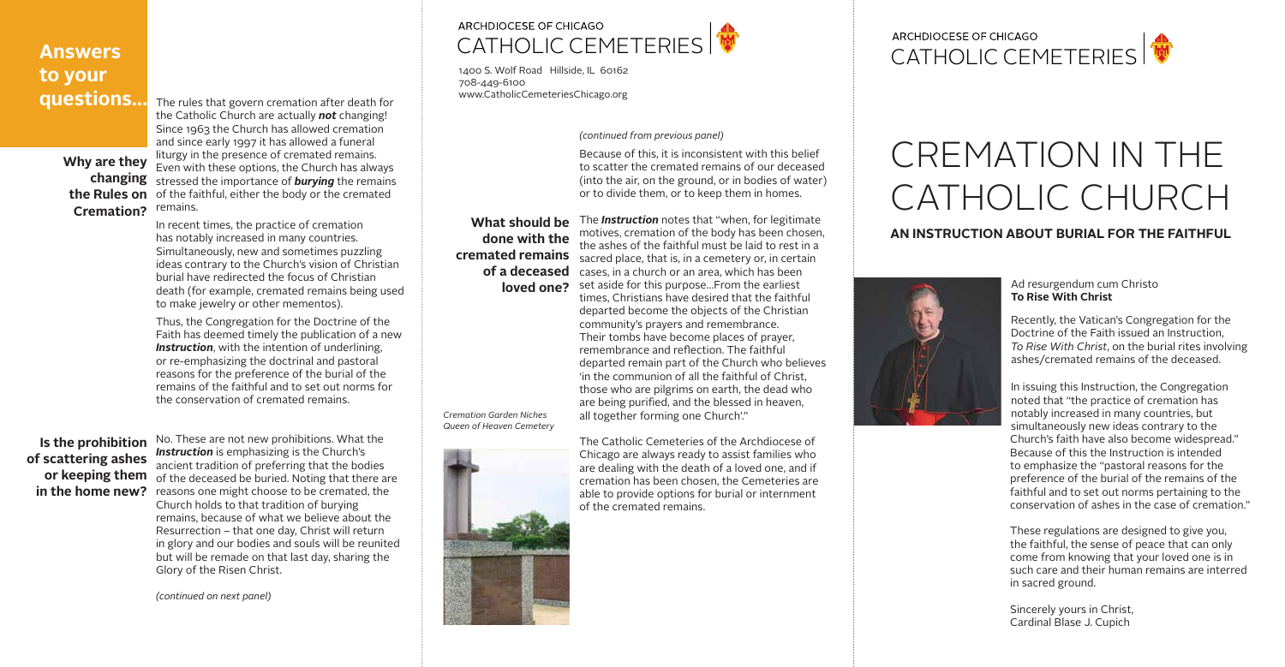# **Answers to your questions…**

#### **Why are they changing the Rules on Cremation?**

The rules that govern cremation after death for the Catholic Church are actually *not* changing! Since 1963 the Church has allowed cremation and since early 1997 it has allowed a funeral liturgy in the presence of cremated remains. Even with these options, the Church has always stressed the importance of *burying* the remains of the faithful, either the body or the cremated remains.

In recent times, the practice of cremation has notably increased in many countries. Simultaneously, new and sometimes puzzling ideas contrary to the Church's vision of Christian burial have redirected the focus of Christian death (for example, cremated remains being used to make jewelry or other mementos).

Thus, the Congregation for the Doctrine of the Faith has deemed timely the publication of a new **Instruction**, with the intention of underlining, or re-emphasizing the doctrinal and pastoral reasons for the preference of the burial of the remains of the faithful and to set out norms for the conservation of cremated remains.

No. These are not new prohibitions. What the *Instruction* is emphasizing is the Church's ancient tradition of preferring that the bodies of the deceased be buried. Noting that there are **in the home new?** reasons one might choose to be cremated, the Church holds to that tradition of burying remains, because of what we believe about the Resurrection – that one day, Christ will return in glory and our bodies and souls will be reunited but will be remade on that last day, sharing the Glory of the Risen Christ.

## **Is the prohibition of scattering ashes or keeping them**

**What should be done with the of a deceased** 

Because of this, it is inconsistent with this belief to scatter the cremated remains of our deceased (into the air, on the ground, or in bodies of water) or to divide them, or to keep them in homes.

# CREMATION IN THE CATHOLIC CHURCH to scatter the cremated remains of our deceased 101516-Catholic Catholic Catholic Catholic Catholic Catholic Catholic Catholic Catholic Catholic Catholic Catholic Catholic Catholic Catholic Catholic Catholic Catholic Catholic Catholic Catholic Catholic Catholic Catholic

**cremated remains**  sacred place, that is, in a cemetery or, in certain **loved one?** set aside for this purpose...From the earliest The *Instruction* notes that "when, for legitimate motives, cremation of the body has been chosen, the ashes of the faithful must be laid to rest in a cases, in a church or an area, which has been times, Christians have desired that the faithful departed become the objects of the Christian community's prayers and remembrance. Their tombs have become places of prayer, remembrance and reflection. The faithful departed remain part of the Church who believes 'in the communion of all the faithful of Christ, those who are pilgrims on earth, the dead who are being purified, and the blessed in heaven,

all together forming one Church'."

# ARCHDIOCESE OF CHICAGO

The Catholic Cemeteries of the Archdiocese of Chicago are always ready to assist families who are dealing with the death of a loved one, and if cremation has been chosen, the Cemeteries are able to provide options for burial or internment of the cremated remains.

*(continued on next panel)*

#### ancient tradition of preferring that the bodies of preferring that the bodies of preferring that the bodies of  $\mathcal{L}$ of the deceased be buried. Noting that there are reasons on the choose to be cremated, the form of the form of  $\mathbf{w}$ Church holds to that tradition of burying **ARCHDIOCESE OF CHICAGO** CATHOLIC CEMETERIES

*(continued from previous panel)*

*Cremation Garden Niches Queen of Heaven Cemetery*



Ad resurgendum cum Christo **To Rise With Christ**

Recently, the Vatican's Congregation for the Doctrine of the Faith issued an Instruction, *To Rise With Christ*, on the burial rites involving ashes/cremated remains of the deceased.

In issuing this Instruction, the Congregation noted that "the practice of cremation has notably increased in many countries, but simultaneously new ideas contrary to the Church's faith have also become widespread." Because of this the Instruction is intended to emphasize the "pastoral reasons for the preference of the burial of the remains of the faithful and to set out norms pertaining to the conservation of ashes in the case of cremation."

These regulations are designed to give you, the faithful, the sense of peace that can only come from knowing that your loved one is in such care and their human remains are interred in sacred ground.

Sincerely yours in Christ, Cardinal Blase J. Cupich

### **AN INSTRUCTION ABOUT BURIAL FOR THE FAITHFUL**



#### **CATHOLIC CEMETERIES An Instruction about burial**

remains, because of what we believe about the whole we believe about the whole we believe about the whole we believe  $\log$ 1400 S. Wolf Road Hillside, IL 60162 708-449-6100<br>www.CatholicCemeteriesChicago.org 1400 S. Wolf Road 708-449-6100

**of scattering ashes or keeping them in the home new?**